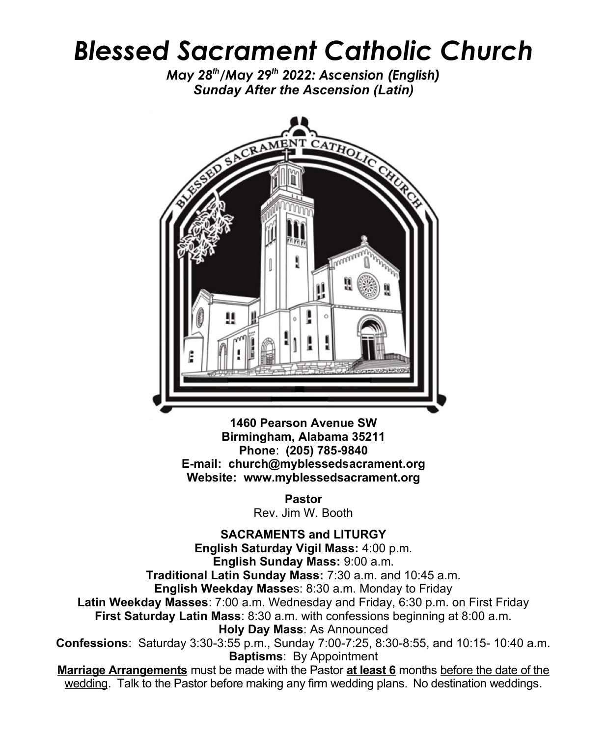## *Blessed Sacrament Catholic Church*

*May 28th/May 29th 2022: Ascension (English) Sunday After the Ascension (Latin)*



**1460 Pearson Avenue SW Birmingham, Alabama 35211 Phone**: **(205) 785-9840 E-mail: church@myblessedsacrament.org Website: www.myblessedsacrament.org**

> **Pastor** Rev. Jim W. Booth

**SACRAMENTS and LITURGY English Saturday Vigil Mass:** 4:00 p.m. **English Sunday Mass:** 9:00 a.m. **Traditional Latin Sunday Mass:** 7:30 a.m. and 10:45 a.m. **English Weekday Masse**s: 8:30 a.m. Monday to Friday **Latin Weekday Masses**: 7:00 a.m. Wednesday and Friday, 6:30 p.m. on First Friday **First Saturday Latin Mass**: 8:30 a.m. with confessions beginning at 8:00 a.m. **Holy Day Mass**: As Announced **Confessions**: Saturday 3:30-3:55 p.m., Sunday 7:00-7:25, 8:30-8:55, and 10:15- 10:40 a.m. **Baptisms**: By Appointment **Marriage Arrangements** must be made with the Pastor **at least 6** months before the date of the wedding. Talk to the Pastor before making any firm wedding plans. No destination weddings.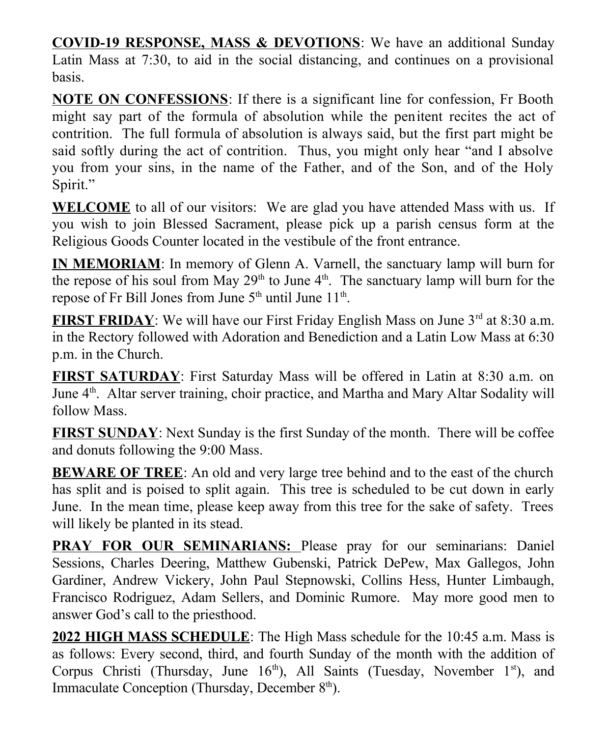**COVID-19 RESPONSE, MASS & DEVOTIONS**: We have an additional Sunday Latin Mass at 7:30, to aid in the social distancing, and continues on a provisional basis.

**NOTE ON CONFESSIONS**: If there is a significant line for confession, Fr Booth might say part of the formula of absolution while the penitent recites the act of contrition. The full formula of absolution is always said, but the first part might be said softly during the act of contrition. Thus, you might only hear "and I absolve you from your sins, in the name of the Father, and of the Son, and of the Holy Spirit."

**WELCOME** to all of our visitors: We are glad you have attended Mass with us. If you wish to join Blessed Sacrament, please pick up a parish census form at the Religious Goods Counter located in the vestibule of the front entrance.

**IN MEMORIAM**: In memory of Glenn A. Varnell, the sanctuary lamp will burn for the repose of his soul from May  $29<sup>th</sup>$  to June  $4<sup>th</sup>$ . The sanctuary lamp will burn for the repose of Fr Bill Jones from June  $5<sup>th</sup>$  until June  $11<sup>th</sup>$ .

**FIRST FRIDAY**: We will have our First Friday English Mass on June 3<sup>rd</sup> at 8:30 a.m. in the Rectory followed with Adoration and Benediction and a Latin Low Mass at 6:30 p.m. in the Church.

**FIRST SATURDAY**: First Saturday Mass will be offered in Latin at 8:30 a.m. on June 4<sup>th</sup>. Altar server training, choir practice, and Martha and Mary Altar Sodality will follow Mass.

**FIRST SUNDAY**: Next Sunday is the first Sunday of the month. There will be coffee and donuts following the 9:00 Mass.

**BEWARE OF TREE**: An old and very large tree behind and to the east of the church has split and is poised to split again. This tree is scheduled to be cut down in early June. In the mean time, please keep away from this tree for the sake of safety. Trees will likely be planted in its stead.

**PRAY FOR OUR SEMINARIANS:** Please pray for our seminarians: Daniel Sessions, Charles Deering, Matthew Gubenski, Patrick DePew, Max Gallegos, John Gardiner, Andrew Vickery, John Paul Stepnowski, Collins Hess, Hunter Limbaugh, Francisco Rodriguez, Adam Sellers, and Dominic Rumore. May more good men to answer God's call to the priesthood.

2022 HIGH MASS SCHEDULE: The High Mass schedule for the 10:45 a.m. Mass is as follows: Every second, third, and fourth Sunday of the month with the addition of Corpus Christi (Thursday, June  $16<sup>th</sup>$ ), All Saints (Tuesday, November  $1<sup>st</sup>$ ), and Immaculate Conception (Thursday, December  $8<sup>th</sup>$ ).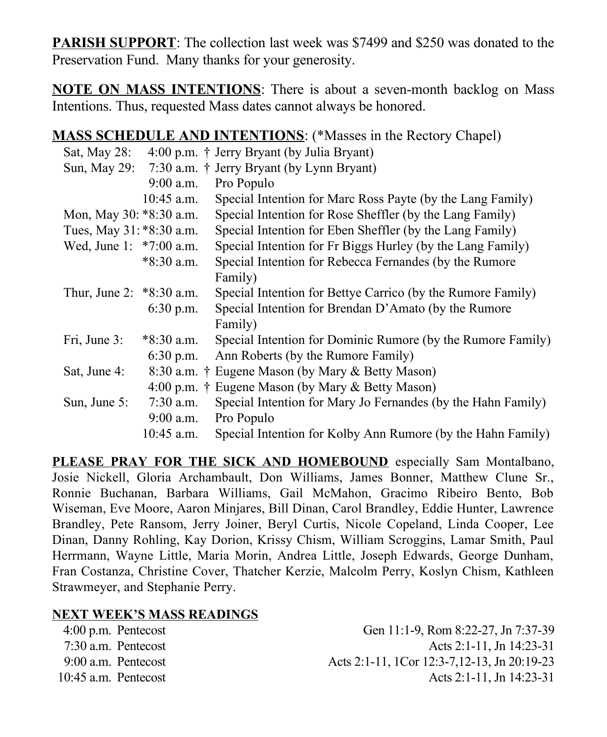**PARISH SUPPORT**: The collection last week was \$7499 and \$250 was donated to the Preservation Fund. Many thanks for your generosity.

**NOTE ON MASS INTENTIONS**: There is about a seven-month backlog on Mass Intentions. Thus, requested Mass dates cannot always be honored.

## **MASS SCHEDULE AND INTENTIONS**: (\*Masses in the Rectory Chapel)

| Sat, May $28$ :            |              | 4:00 p.m. † Jerry Bryant (by Julia Bryant)                   |
|----------------------------|--------------|--------------------------------------------------------------|
|                            |              | Sun, May 29: $7:30$ a.m. † Jerry Bryant (by Lynn Bryant)     |
|                            | $9:00$ a.m.  | Pro Populo                                                   |
|                            | $10:45$ a.m. | Special Intention for Marc Ross Payte (by the Lang Family)   |
| Mon, May 30: *8:30 a.m.    |              | Special Intention for Rose Sheffler (by the Lang Family)     |
| Tues, May 31: *8:30 a.m.   |              | Special Intention for Eben Sheffler (by the Lang Family)     |
| Wed, June 1: *7:00 a.m.    |              | Special Intention for Fr Biggs Hurley (by the Lang Family)   |
|                            | $*8:30$ a.m. | Special Intention for Rebecca Fernandes (by the Rumore       |
|                            |              | Family)                                                      |
| Thur, June 2: $*8:30$ a.m. |              | Special Intention for Bettye Carrico (by the Rumore Family)  |
|                            | $6:30$ p.m.  | Special Intention for Brendan D'Amato (by the Rumore         |
|                            |              | Family)                                                      |
| Fri, June 3:               | *8:30 a.m.   | Special Intention for Dominic Rumore (by the Rumore Family)  |
|                            | $6:30$ p.m.  | Ann Roberts (by the Rumore Family)                           |
| Sat, June 4:               |              | 8:30 a.m. † Eugene Mason (by Mary & Betty Mason)             |
|                            |              | 4:00 p.m. † Eugene Mason (by Mary & Betty Mason)             |
| Sun, June $5$ :            | $7:30$ a.m.  | Special Intention for Mary Jo Fernandes (by the Hahn Family) |
|                            | $9:00$ a.m.  | Pro Populo                                                   |
|                            | $10:45$ a.m. | Special Intention for Kolby Ann Rumore (by the Hahn Family)  |

PLEASE PRAY FOR THE SICK AND HOMEBOUND especially Sam Montalbano, Josie Nickell, Gloria Archambault, Don Williams, James Bonner, Matthew Clune Sr., Ronnie Buchanan, Barbara Williams, Gail McMahon, Gracimo Ribeiro Bento, Bob Wiseman, Eve Moore, Aaron Minjares, Bill Dinan, Carol Brandley, Eddie Hunter, Lawrence Brandley, Pete Ransom, Jerry Joiner, Beryl Curtis, Nicole Copeland, Linda Cooper, Lee Dinan, Danny Rohling, Kay Dorion, Krissy Chism, William Scroggins, Lamar Smith, Paul Herrmann, Wayne Little, Maria Morin, Andrea Little, Joseph Edwards, George Dunham, Fran Costanza, Christine Cover, Thatcher Kerzie, Malcolm Perry, Koslyn Chism, Kathleen Strawmeyer, and Stephanie Perry.

## **NEXT WEEK'S MASS READINGS**

| $4:00$ p.m. Pentecost  | Gen 11:1-9, Rom 8:22-27, Jn 7:37-39          |
|------------------------|----------------------------------------------|
| 7:30 a.m. Pentecost    | Acts 2:1-11, Jn 14:23-31                     |
| 9:00 a.m. Pentecost    | Acts 2:1-11, 1Cor 12:3-7, 12-13, Jn 20:19-23 |
| $10:45$ a.m. Pentecost | Acts 2:1-11. Jn 14:23-31                     |